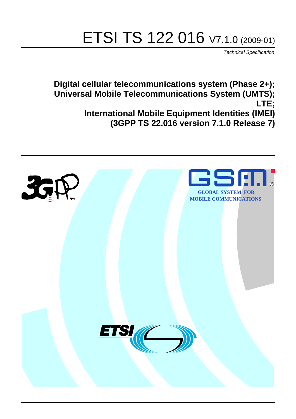# ETSI TS 122 016 V7.1.0 (2009-01)

*Technical Specification*

**Digital cellular telecommunications system (Phase 2+); Universal Mobile Telecommunications System (UMTS); LTE; International Mobile Equipment Identities (IMEI) (3GPP TS 22.016 version 7.1.0 Release 7)**

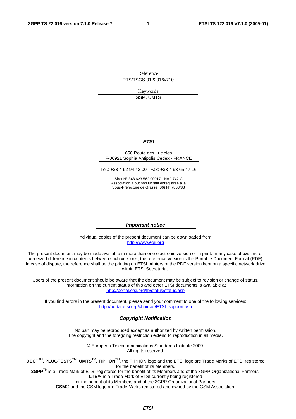Reference RTS/TSGS-0122016v710

> Keywords GSM, UMTS

#### *ETSI*

#### 650 Route des Lucioles F-06921 Sophia Antipolis Cedex - FRANCE

Tel.: +33 4 92 94 42 00 Fax: +33 4 93 65 47 16

Siret N° 348 623 562 00017 - NAF 742 C Association à but non lucratif enregistrée à la Sous-Préfecture de Grasse (06) N° 7803/88

#### *Important notice*

Individual copies of the present document can be downloaded from: [http://www.etsi.org](http://www.etsi.org/)

The present document may be made available in more than one electronic version or in print. In any case of existing or perceived difference in contents between such versions, the reference version is the Portable Document Format (PDF). In case of dispute, the reference shall be the printing on ETSI printers of the PDF version kept on a specific network drive within ETSI Secretariat.

Users of the present document should be aware that the document may be subject to revision or change of status. Information on the current status of this and other ETSI documents is available at <http://portal.etsi.org/tb/status/status.asp>

If you find errors in the present document, please send your comment to one of the following services: [http://portal.etsi.org/chaircor/ETSI\\_support.asp](http://portal.etsi.org/chaircor/ETSI_support.asp)

#### *Copyright Notification*

No part may be reproduced except as authorized by written permission. The copyright and the foregoing restriction extend to reproduction in all media.

> © European Telecommunications Standards Institute 2009. All rights reserved.

**DECT**TM, **PLUGTESTS**TM, **UMTS**TM, **TIPHON**TM, the TIPHON logo and the ETSI logo are Trade Marks of ETSI registered for the benefit of its Members.

**3GPP**TM is a Trade Mark of ETSI registered for the benefit of its Members and of the 3GPP Organizational Partners. **LTE**™ is a Trade Mark of ETSI currently being registered

for the benefit of its Members and of the 3GPP Organizational Partners.

**GSM**® and the GSM logo are Trade Marks registered and owned by the GSM Association.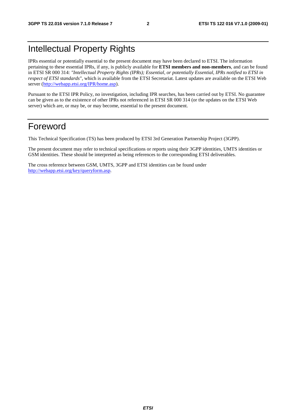# Intellectual Property Rights

IPRs essential or potentially essential to the present document may have been declared to ETSI. The information pertaining to these essential IPRs, if any, is publicly available for **ETSI members and non-members**, and can be found in ETSI SR 000 314: *"Intellectual Property Rights (IPRs); Essential, or potentially Essential, IPRs notified to ETSI in respect of ETSI standards"*, which is available from the ETSI Secretariat. Latest updates are available on the ETSI Web server ([http://webapp.etsi.org/IPR/home.asp\)](http://webapp.etsi.org/IPR/home.asp).

Pursuant to the ETSI IPR Policy, no investigation, including IPR searches, has been carried out by ETSI. No guarantee can be given as to the existence of other IPRs not referenced in ETSI SR 000 314 (or the updates on the ETSI Web server) which are, or may be, or may become, essential to the present document.

### Foreword

This Technical Specification (TS) has been produced by ETSI 3rd Generation Partnership Project (3GPP).

The present document may refer to technical specifications or reports using their 3GPP identities, UMTS identities or GSM identities. These should be interpreted as being references to the corresponding ETSI deliverables.

The cross reference between GSM, UMTS, 3GPP and ETSI identities can be found under [http://webapp.etsi.org/key/queryform.asp.](http://webapp.etsi.org/key/queryform.asp)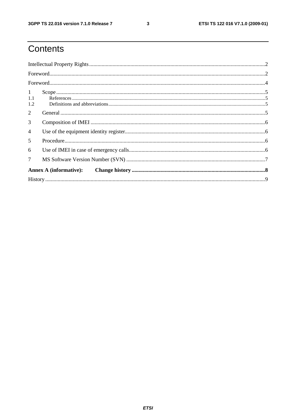# Contents

| $\mathbf{1}$   |                               |  |  |  |  |
|----------------|-------------------------------|--|--|--|--|
| 1.1            |                               |  |  |  |  |
| 1.2            |                               |  |  |  |  |
| 2              |                               |  |  |  |  |
| 3              |                               |  |  |  |  |
| $\overline{4}$ |                               |  |  |  |  |
| 5              |                               |  |  |  |  |
| 6              |                               |  |  |  |  |
| $\tau$         |                               |  |  |  |  |
|                | <b>Annex A (informative):</b> |  |  |  |  |
|                |                               |  |  |  |  |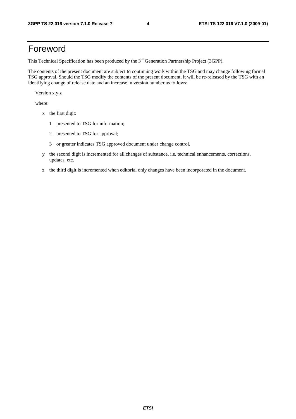### Foreword

This Technical Specification has been produced by the 3<sup>rd</sup> Generation Partnership Project (3GPP).

The contents of the present document are subject to continuing work within the TSG and may change following formal TSG approval. Should the TSG modify the contents of the present document, it will be re-released by the TSG with an identifying change of release date and an increase in version number as follows:

Version x.y.z

where:

- x the first digit:
	- 1 presented to TSG for information;
	- 2 presented to TSG for approval;
	- 3 or greater indicates TSG approved document under change control.
- y the second digit is incremented for all changes of substance, i.e. technical enhancements, corrections, updates, etc.
- z the third digit is incremented when editorial only changes have been incorporated in the document.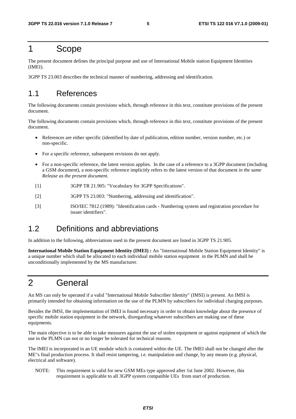#### 1 Scope

The present document defines the principal purpose and use of International Mobile station Equipment Identities (IMEI).

3GPP TS 23.003 describes the technical manner of numbering, addressing and identification.

#### 1.1 References

The following documents contain provisions which, through reference in this text, constitute provisions of the present document.

The following documents contain provisions which, through reference in this text, constitute provisions of the present document.

- References are either specific (identified by date of publication, edition number, version number, etc.) or non-specific.
- For a specific reference, subsequent revisions do not apply.
- For a non-specific reference, the latest version applies. In the case of a reference to a 3GPP document (including a GSM document), a non-specific reference implicitly refers to the latest version of that document *in the same Release as the present document*.
- [1] 3GPP TR 21.905: "Vocabulary for 3GPP Specifications".
- [2] 3GPP TS 23.003: "Numbering, addressing and identification".
- [3] ISO/IEC 7812 (1989): "Identification cards Numbering system and registration procedure for issuer identifiers".

#### 1.2 Definitions and abbreviations

In addition to the following, abbreviations used in the present document are listed in 3GPP TS 21.905.

**International Mobile Station Equipment Identity (IMEI) :** An "International Mobile Station Equipment Identity" is a unique number which shall be allocated to each individual mobile station equipment in the PLMN and shall be unconditionally implemented by the MS manufacturer.

# 2 General

An MS can only be operated if a valid "International Mobile Subscriber Identity" (IMSI) is present. An IMSI is primarily intended for obtaining information on the use of the PLMN by subscribers for individual charging purposes.

Besides the IMSI, the implementation of IMEI is found necessary in order to obtain knowledge about the presence of specific mobile station equipment in the network, disregarding whatever subscribers are making use of these equipments.

The main objective is to be able to take measures against the use of stolen equipment or against equipment of which the use in the PLMN can not or no longer be tolerated for technical reasons.

The IMEI is incorporated in an UE module which is contained within the UE. The IMEI shall not be changed after the ME"s final production process. It shall resist tampering, i.e. manipulation and change, by any means (e.g. physical, electrical and software).

NOTE: This requirement is valid for new GSM MEs type approved after 1st June 2002. However, this requirement is applicable to all 3GPP system compatible UEs from start of production.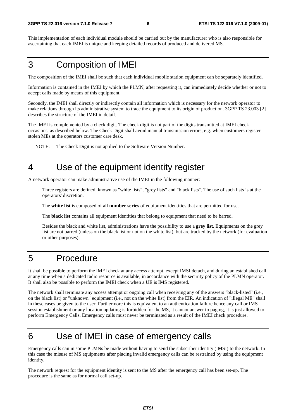This implementation of each individual module should be carried out by the manufacturer who is also responsible for ascertaining that each IMEI is unique and keeping detailed records of produced and delivered MS.

### 3 Composition of IMEI

The composition of the IMEI shall be such that each individual mobile station equipment can be separately identified.

Information is contained in the IMEI by which the PLMN, after requesting it, can immediately decide whether or not to accept calls made by means of this equipment.

Secondly, the IMEI shall directly or indirectly contain all information which is necessary for the network operator to make relations through its administrative system to trace the equipment to its origin of production. 3GPP TS 23.003 [2] describes the structure of the IMEI in detail.

The IMEI is complemented by a check digit. The check digit is not part of the digits transmitted at IMEI check occasions, as described below. The Check Digit shall avoid manual transmission errors, e.g. when customers register stolen MEs at the operators customer care desk.

NOTE: The Check Digit is not applied to the Software Version Number.

### 4 Use of the equipment identity register

A network operator can make administrative use of the IMEI in the following manner:

 Three registers are defined, known as "white lists", "grey lists" and "black lists". The use of such lists is at the operators' discretion.

The **white list** is composed of all **number series** of equipment identities that are permitted for use.

The **black list** contains all equipment identities that belong to equipment that need to be barred.

 Besides the black and white list, administrations have the possibility to use a **grey list**. Equipments on the grey list are not barred (unless on the black list or not on the white list), but are tracked by the network (for evaluation or other purposes).

#### 5 Procedure

It shall be possible to perform the IMEI check at any access attempt, except IMSI detach, and during an established call at any time when a dedicated radio resource is available, in accordance with the security policy of the PLMN operator. It shall also be possible to perform the IMEI check when a UE is IMS registered.

The network shall terminate any access attempt or ongoing call when receiving any of the answers "black-listed" (i.e., on the black list) or "unknown" equipment (i.e., not on the white list) from the EIR. An indication of "illegal ME" shall in these cases be given to the user. Furthermore this is equivalent to an authentication failure hence any call or IMS session establishment or any location updating is forbidden for the MS, it cannot answer to paging, it is just allowed to perform Emergency Calls. Emergency calls must never be terminated as a result of the IMEI check procedure.

# 6 Use of IMEI in case of emergency calls

Emergency calls can in some PLMNs be made without having to send the subscriber identity (IMSI) to the network. In this case the misuse of MS equipments after placing invalid emergency calls can be restrained by using the equipment identity.

The network request for the equipment identity is sent to the MS after the emergency call has been set-up. The procedure is the same as for normal call set-up.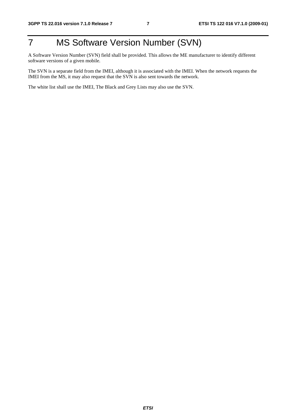# 7 MS Software Version Number (SVN)

A Software Version Number (SVN) field shall be provided. This allows the ME manufacturer to identify different software versions of a given mobile.

The SVN is a separate field from the IMEI, although it is associated with the IMEI. When the network requests the IMEI from the MS, it may also request that the SVN is also sent towards the network.

The white list shall use the IMEI, The Black and Grey Lists may also use the SVN.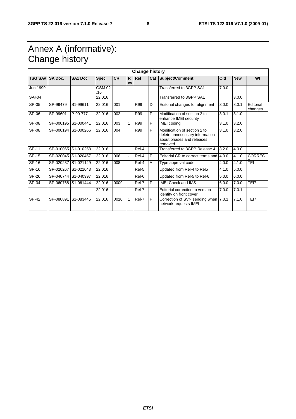# Annex A (informative): Change history

| <b>Change history</b> |                     |                     |               |           |                |            |     |                                                                                                        |       |            |                      |
|-----------------------|---------------------|---------------------|---------------|-----------|----------------|------------|-----|--------------------------------------------------------------------------------------------------------|-------|------------|----------------------|
| TSG SA# SA Doc.       |                     | SA <sub>1</sub> Doc | <b>Spec</b>   | <b>CR</b> | R<br>ev        | Rel        | Cat | Subject/Comment                                                                                        | Old   | <b>New</b> | WI                   |
| Jun 1999              |                     |                     | GSM 02<br>.16 |           |                |            |     | Transferred to 3GPP SA1                                                                                | 7.0.0 |            |                      |
| SA#04                 |                     |                     | 22.016        |           |                |            |     | Transferred to 3GPP SA1                                                                                |       | 3.0.0      |                      |
| SP-05                 | SP-99479            | S1-99611            | 22.016        | 001       |                | R99        | D   | Editorial changes for alignment                                                                        | 3.0.0 | 3.0.1      | Editorial<br>changes |
| SP-06                 | SP-99601            | P-99-777            | 22.016        | 002       |                | R99        | F   | Modification of section 2 to<br>enhance IMEI security                                                  | 3.0.1 | 3.1.0      |                      |
| SP-08                 | SP-000195 S1-000441 |                     | 22.016        | 003       | 1              | <b>R99</b> | F   | <b>IMEI</b> coding                                                                                     | 3.1.0 | 3.2.0      |                      |
| SP-08                 | SP-000194 S1-000266 |                     | 22.016        | 004       |                | R99        | F   | Modification of section 2 to<br>delete unnecessary information<br>about phases and releases<br>removed | 3.1.0 | 3.2.0      |                      |
| SP-11                 | SP-010065           | S1-010258           | 22.016        |           |                | Rel-4      |     | Transferred to 3GPP Release 4                                                                          | 3.2.0 | 4.0.0      |                      |
| $SP-15$               | SP-020045 S1-020457 |                     | 22.016        | 006       |                | Rel-4      | F   | Editorial CR to correct terms and                                                                      | 4.0.0 | 4.1.0      | <b>CORREC</b>        |
| SP-16                 | SP-020237           | S1-021149           | 22.016        | 008       |                | Rel-4      | A   | Type approval code                                                                                     | 4.0.0 | 4.1.0      | TEI                  |
| SP-16                 | SP-020267 S1-021043 |                     | 22.016        |           |                | Rel-5      |     | Updated from Rel-4 to Rel5                                                                             | 4.1.0 | 5.0.0      |                      |
| SP-26                 | SP-040744 S1-040997 |                     | 22.016        |           |                | Rel-6      |     | Updated from Rel-5 to Rel-6                                                                            | 5.0.0 | 6.0.0      |                      |
| SP-34                 | SP-060768 S1-061444 |                     | 22.016        | 0009      | $\blacksquare$ | Rel-7      | F   | <b>IMEI Check and IMS</b>                                                                              | 6.0.0 | 7.0.0      | TEI7                 |
|                       |                     |                     | 22.016        |           |                | Rel-7      |     | Editorial correction to version<br>identity on front cover                                             | 7.0.0 | 7.0.1      |                      |
| SP-42                 | SP-080891           | S1-083445           | 22.016        | 0010      | 1              | Rel-7      | F   | Correction of SVN sending when 7.0.1<br>network requests IMEI                                          |       | 7.1.0      | TEI7                 |